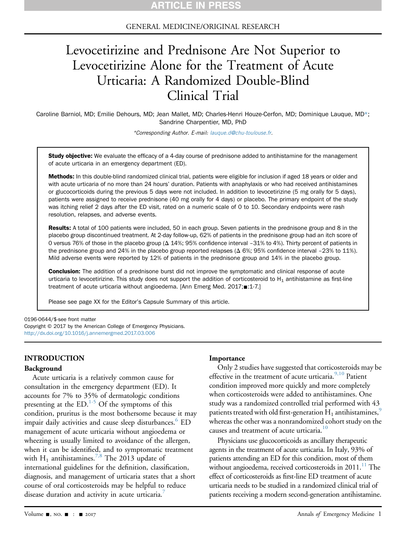#### GENERAL MEDICINE/ORIGINAL RESEARCH

# Levocetirizine and Prednisone Are Not Superior to Levocetirizine Alone for the Treatment of Acute Urticaria: A Randomized Double-Blind Clinical Trial

Caroline Barniol, MD; Emilie Dehours, MD; Jean Mallet, MD; Charles-Henri Houze-Cerfon, MD; Dominique Lauque, MD\*; Sandrine Charpentier, MD, PhD

\*Corresponding Author. E-mail: [lauque.d@chu-toulouse.fr.](mailto:lauque.d@chu-toulouse.fr)

Study objective: We evaluate the efficacy of a 4-day course of prednisone added to antihistamine for the management of acute urticaria in an emergency department (ED).

Methods: In this double-blind randomized clinical trial, patients were eligible for inclusion if aged 18 years or older and with acute urticaria of no more than 24 hours' duration. Patients with anaphylaxis or who had received antihistamines or glucocorticoids during the previous 5 days were not included. In addition to levocetirizine (5 mg orally for 5 days), patients were assigned to receive prednisone (40 mg orally for 4 days) or placebo. The primary endpoint of the study was itching relief 2 days after the ED visit, rated on a numeric scale of 0 to 10. Secondary endpoints were rash resolution, relapses, and adverse events.

Results: A total of 100 patients were included, 50 in each group. Seven patients in the prednisone group and 8 in the placebo group discontinued treatment. At 2-day follow-up, 62% of patients in the prednisone group had an itch score of 0 versus 76% of those in the placebo group ( $\Delta$  14%; 95% confidence interval -31% to 4%). Thirty percent of patients in the prednisone group and 24% in the placebo group reported relapses ( $\Delta$  6%; 95% confidence interval -23% to 11%). Mild adverse events were reported by 12% of patients in the prednisone group and 14% in the placebo group.

Conclusion: The addition of a prednisone burst did not improve the symptomatic and clinical response of acute urticaria to levocetirizine. This study does not support the addition of corticosteroid to  $H_1$  antihistamine as first-line treatment of acute urticaria without angioedema. [Ann Emerg Med. 2017; =: 1-7.]

Please see page XX for the Editor's Capsule Summary of this article.

0196-0644/\$-see front matter

Copyright © 2017 by the American College of Emergency Physicians. <http://dx.doi.org/10.1016/j.annemergmed.2017.03.006>

## INTRODUCTION

#### Background

Acute urticaria is a relatively common cause for consultation in the emergency department (ED). It accounts for 7% to 35% of dermatologic conditions presenting at the  $ED.^{1-5}$  $ED.^{1-5}$  $ED.^{1-5}$  Of the symptoms of this condition, pruritus is the most bothersome because it may impair daily activities and cause sleep disturbances.<sup>[6](#page-6-1)</sup> ED management of acute urticaria without angioedema or wheezing is usually limited to avoidance of the allergen, when it can be identified, and to symptomatic treatment with  $H_1$  antihistamines.<sup>[7,8](#page-6-2)</sup> The 2013 update of international guidelines for the definition, classification, diagnosis, and management of urticaria states that a short course of oral corticosteroids may be helpful to reduce disease duration and activity in acute urticaria.<sup>[7](#page-6-2)</sup>

#### Importance

Only 2 studies have suggested that corticosteroids may be effective in the treatment of acute urticaria.<sup>[9,10](#page-6-3)</sup> Patient condition improved more quickly and more completely when corticosteroids were added to antihistamines. One study was a randomized controlled trial performed with 43 patients treated with old first-generation  $H_1$  antihistamines,<sup>[9](#page-6-3)</sup> whereas the other was a nonrandomized cohort study on the causes and treatment of acute urticaria.<sup>[10](#page-6-4)</sup>

Physicians use glucocorticoids as ancillary therapeutic agents in the treatment of acute urticaria. In Italy, 93% of patients attending an ED for this condition, most of them without angioedema, received corticosteroids in  $2011$  $2011$ .<sup>11</sup> The effect of corticosteroids as first-line ED treatment of acute urticaria needs to be studied in a randomized clinical trial of patients receiving a modern second-generation antihistamine.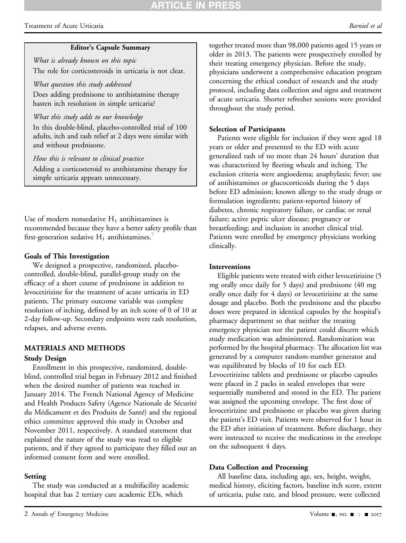# **ARTICLE IN PRES**

#### Treatment of Acute Urticaria and the second second terms of Acute Control of Acute Control et al.

#### Editor's Capsule Summary

What is already known on this topic The role for corticosteroids in urticaria is not clear.

What question this study addressed

Does adding prednisone to antihistamine therapy hasten itch resolution in simple urticaria?

#### What this study adds to our knowledge

In this double-blind, placebo-controlled trial of 100 adults, itch and rash relief at 2 days were similar with and without prednisone.

How this is relevant to clinical practice Adding a corticosteroid to antihistamine therapy for simple urticaria appears unnecessary.

Use of modern nonsedative  $H_1$  antihistamines is recommended because they have a better safety profile than first-generation sedative  $H_1$  antihistamines.<sup>7</sup>

#### Goals of This Investigation

We designed a prospective, randomized, placebocontrolled, double-blind, parallel-group study on the efficacy of a short course of prednisone in addition to levocetirizine for the treatment of acute urticaria in ED patients. The primary outcome variable was complete resolution of itching, defined by an itch score of 0 of 10 at 2-day follow-up. Secondary endpoints were rash resolution, relapses, and adverse events.

#### MATERIALS AND METHODS

#### Study Design

Enrollment in this prospective, randomized, doubleblind, controlled trial began in February 2012 and finished when the desired number of patients was reached in January 2014. The French National Agency of Medicine and Health Products Safety (Agence Nationale de Sécurité du Médicament et des Produits de Santé) and the regional ethics committee approved this study in October and November 2011, respectively. A standard statement that explained the nature of the study was read to eligible patients, and if they agreed to participate they filled out an informed consent form and were enrolled.

#### Setting

The study was conducted at a multifacility academic hospital that has 2 tertiary care academic EDs, which

together treated more than 98,000 patients aged 15 years or older in 2013. The patients were prospectively enrolled by their treating emergency physician. Before the study, physicians underwent a comprehensive education program concerning the ethical conduct of research and the study protocol, including data collection and signs and treatment of acute urticaria. Shorter refresher sessions were provided throughout the study period.

#### Selection of Participants

Patients were eligible for inclusion if they were aged 18 years or older and presented to the ED with acute generalized rash of no more than 24 hours' duration that was characterized by fleeting wheals and itching. The exclusion criteria were angioedema; anaphylaxis; fever; use of antihistamines or glucocorticoids during the 5 days before ED admission; known allergy to the study drugs or formulation ingredients; patient-reported history of diabetes, chronic respiratory failure, or cardiac or renal failure; active peptic ulcer disease; pregnancy or breastfeeding; and inclusion in another clinical trial. Patients were enrolled by emergency physicians working clinically.

#### Interventions

Eligible patients were treated with either levocetirizine (5 mg orally once daily for 5 days) and prednisone (40 mg orally once daily for 4 days) or levocetirizine at the same dosage and placebo. Both the prednisone and the placebo doses were prepared in identical capsules by the hospital's pharmacy department so that neither the treating emergency physician nor the patient could discern which study medication was administered. Randomization was performed by the hospital pharmacy. The allocation list was generated by a computer random-number generator and was equilibrated by blocks of 10 for each ED. Levocetirizine tablets and prednisone or placebo capsules were placed in 2 packs in sealed envelopes that were sequentially numbered and stored in the ED. The patient was assigned the upcoming envelope. The first dose of levocetirizine and prednisone or placebo was given during the patient's ED visit. Patients were observed for 1 hour in the ED after initiation of treatment. Before discharge, they were instructed to receive the medications in the envelope on the subsequent 4 days.

#### Data Collection and Processing

All baseline data, including age, sex, height, weight, medical history, eliciting factors, baseline itch score, extent of urticaria, pulse rate, and blood pressure, were collected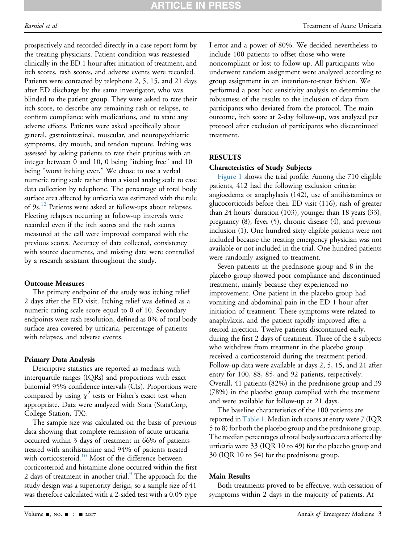# **RTICLE IN PRES**

prospectively and recorded directly in a case report form by the treating physicians. Patient condition was reassessed clinically in the ED 1 hour after initiation of treatment, and itch scores, rash scores, and adverse events were recorded. Patients were contacted by telephone 2, 5, 15, and 21 days after ED discharge by the same investigator, who was blinded to the patient group. They were asked to rate their itch score, to describe any remaining rash or relapse, to confirm compliance with medications, and to state any adverse effects. Patients were asked specifically about general, gastrointestinal, muscular, and neuropsychiatric symptoms, dry mouth, and tendon rupture. Itching was assessed by asking patients to rate their pruritus with an integer between 0 and 10, 0 being "itching free" and 10 being "worst itching ever." We chose to use a verbal numeric rating scale rather than a visual analog scale to ease data collection by telephone. The percentage of total body surface area affected by urticaria was estimated with the rule of 9s. $^{12}$  $^{12}$  $^{12}$  Patients were asked at follow-ups about relapses. Fleeting relapses occurring at follow-up intervals were recorded even if the itch scores and the rash scores measured at the call were improved compared with the previous scores. Accuracy of data collected, consistency with source documents, and missing data were controlled by a research assistant throughout the study.

#### Outcome Measures

The primary endpoint of the study was itching relief 2 days after the ED visit. Itching relief was defined as a numeric rating scale score equal to 0 of 10. Secondary endpoints were rash resolution, defined as 0% of total body surface area covered by urticaria, percentage of patients with relapses, and adverse events.

## Primary Data Analysis

Descriptive statistics are reported as medians with interquartile ranges (IQRs) and proportions with exact binomial 95% confidence intervals (CIs). Proportions were compared by using  $\chi^2$  tests or Fisher's exact test when appropriate. Data were analyzed with Stata (StataCorp, College Station, TX).

The sample size was calculated on the basis of previous data showing that complete remission of acute urticaria occurred within 3 days of treatment in 66% of patients treated with antihistamine and 94% of patients treated with corticosteroid.<sup>[10](#page-6-4)</sup> Most of the difference between corticosteroid and histamine alone occurred within the first 2 days of treatment in another trial.<sup>[9](#page-6-3)</sup> The approach for the study design was a superiority design, so a sample size of 41 was therefore calculated with a 2-sided test with a 0.05 type I error and a power of 80%. We decided nevertheless to include 100 patients to offset those who were noncompliant or lost to follow-up. All participants who underwent random assignment were analyzed according to group assignment in an intention-to-treat fashion. We performed a post hoc sensitivity analysis to determine the robustness of the results to the inclusion of data from participants who deviated from the protocol. The main outcome, itch score at 2-day follow-up, was analyzed per protocol after exclusion of participants who discontinued treatment.

## RESULTS

#### Characteristics of Study Subjects

[Figure 1](#page-3-0) shows the trial profile. Among the 710 eligible patients, 412 had the following exclusion criteria: angioedema or anaphylaxis (142), use of antihistamines or glucocorticoids before their ED visit (116), rash of greater than 24 hours' duration (103), younger than 18 years (33), pregnancy (8), fever (5), chronic disease (4), and previous inclusion (1). One hundred sixty eligible patients were not included because the treating emergency physician was not available or not included in the trial. One hundred patients were randomly assigned to treatment.

Seven patients in the prednisone group and 8 in the placebo group showed poor compliance and discontinued treatment, mainly because they experienced no improvement. One patient in the placebo group had vomiting and abdominal pain in the ED 1 hour after initiation of treatment. These symptoms were related to anaphylaxis, and the patient rapidly improved after a steroid injection. Twelve patients discontinued early, during the first 2 days of treatment. Three of the 8 subjects who withdrew from treatment in the placebo group received a corticosteroid during the treatment period. Follow-up data were available at days 2, 5, 15, and 21 after entry for 100, 88, 85, and 92 patients, respectively. Overall, 41 patients (82%) in the prednisone group and 39 (78%) in the placebo group complied with the treatment and were available for follow-up at 21 days.

The baseline characteristics of the 100 patients are reported in [Table 1.](#page-4-0) Median itch scores at entry were 7 (IQR 5 to 8) for both the placebo group and the prednisone group. The median percentages of total body surface area affected by urticaria were 33 (IQR 10 to 49) for the placebo group and 30 (IQR 10 to 54) for the prednisone group.

## Main Results

Both treatments proved to be effective, with cessation of symptoms within 2 days in the majority of patients. At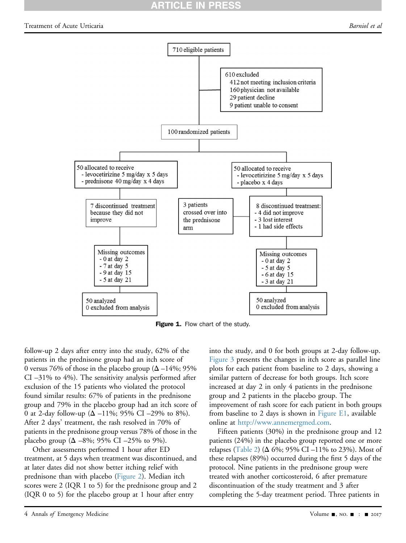<span id="page-3-0"></span>

Figure 1. Flow chart of the study.

follow-up 2 days after entry into the study, 62% of the patients in the prednisone group had an itch score of 0 versus 76% of those in the placebo group ( $\Delta -14\%$ ; 95% CI –31% to 4%). The sensitivity analysis performed after exclusion of the 15 patients who violated the protocol found similar results: 67% of patients in the prednisone group and 79% in the placebo group had an itch score of 0 at 2-day follow-up  $(\Delta -11\%; 95\% \text{ CI} -29\% \text{ to } 8\%).$ After 2 days' treatment, the rash resolved in 70% of patients in the prednisone group versus 78% of those in the placebo group ( $\Delta -8\%$ ; 95% CI –25% to 9%).

Other assessments performed 1 hour after ED treatment, at 5 days when treatment was discontinued, and at later dates did not show better itching relief with prednisone than with placebo [\(Figure 2](#page-4-1)). Median itch scores were 2 (IQR 1 to 5) for the prednisone group and 2 (IQR 0 to 5) for the placebo group at 1 hour after entry

into the study, and 0 for both groups at 2-day follow-up. [Figure 3](#page-4-2) presents the changes in itch score as parallel line plots for each patient from baseline to 2 days, showing a similar pattern of decrease for both groups. Itch score increased at day 2 in only 4 patients in the prednisone group and 2 patients in the placebo group. The improvement of rash score for each patient in both groups from baseline to 2 days is shown in Figure  $E1$ , available online at [http://www.annemergmed.com.](http://www.annemergmed.com)

Fifteen patients (30%) in the prednisone group and 12 patients (24%) in the placebo group reported one or more relapses [\(Table 2](#page-4-3)) ( $\Delta$  6%; 95% CI –11% to 23%). Most of these relapses (89%) occurred during the first 5 days of the protocol. Nine patients in the prednisone group were treated with another corticosteroid, 6 after premature discontinuation of the study treatment and 3 after completing the 5-day treatment period. Three patients in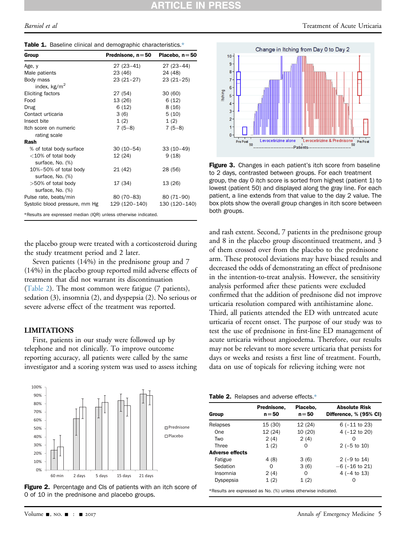<span id="page-4-0"></span>

|  |  |  |  |  | Table 1. Baseline clinical and demographic characteristics.* |
|--|--|--|--|--|--------------------------------------------------------------|
|--|--|--|--|--|--------------------------------------------------------------|

| Group                                                           | Prednisone, $n = 50$ | Placebo, $n = 50$ |
|-----------------------------------------------------------------|----------------------|-------------------|
| Age, y                                                          | 27 (23–41)           | $27(23-44)$       |
| Male patients                                                   | 23 (46)              | 24 (48)           |
| Body mass                                                       | 23 (21-27)           | $23(21-25)$       |
| index, $kg/m2$                                                  |                      |                   |
| Eliciting factors                                               | 27 (54)              | 30(60)            |
| Food                                                            | 13 (26)              | 6(12)             |
| Drug                                                            | 6(12)                | 8(16)             |
| Contact urticaria                                               | 3(6)                 | 5(10)             |
| Insect bite                                                     | 1(2)                 | 1(2)              |
| Itch score on numeric                                           | $7(5-8)$             | $7(5-8)$          |
| rating scale                                                    |                      |                   |
| Rash                                                            |                      |                   |
| % of total body surface                                         | $30(10-54)$          | $33(10-49)$       |
| $<$ 10% of total body                                           | 12 (24)              | 9(18)             |
| surface, No. (%)                                                |                      |                   |
| 10%-50% of total body                                           | 21 (42)              | 28 (56)           |
| surface, No. (%)                                                |                      |                   |
| >50% of total body                                              | 17 (34)              | 13 (26)           |
| surface, No. (%)                                                |                      |                   |
| Pulse rate, beats/min                                           | 80 (70-83)           | 80 (71-90)        |
| Systolic blood pressure, mm Hg                                  | 129 (120–140)        | 130 (120-140)     |
| *Results are expressed median (IQR) unless otherwise indicated. |                      |                   |

<span id="page-4-4"></span>the placebo group were treated with a corticosteroid during the study treatment period and 2 later.

Seven patients (14%) in the prednisone group and 7 (14%) in the placebo group reported mild adverse effects of treatment that did not warrant its discontinuation [\(Table 2](#page-4-3)). The most common were fatigue (7 patients), sedation (3), insomnia (2), and dyspepsia (2). No serious or severe adverse effect of the treatment was reported.

#### LIMITATIONS

First, patients in our study were followed up by telephone and not clinically. To improve outcome reporting accuracy, all patients were called by the same investigator and a scoring system was used to assess itching

<span id="page-4-1"></span>



<span id="page-4-2"></span>

Figure 3. Changes in each patient's itch score from baseline to 2 days, contrasted between groups. For each treatment group, the day 0 itch score is sorted from highest (patient 1) to lowest (patient 50) and displayed along the gray line. For each patient, a line extends from that value to the day 2 value. The box plots show the overall group changes in itch score between both groups.

and rash extent. Second, 7 patients in the prednisone group and 8 in the placebo group discontinued treatment, and 3 of them crossed over from the placebo to the prednisone arm. These protocol deviations may have biased results and decreased the odds of demonstrating an effect of prednisone in the intention-to-treat analysis. However, the sensitivity analysis performed after these patients were excluded confirmed that the addition of prednisone did not improve urticaria resolution compared with antihistamine alone. Third, all patients attended the ED with untreated acute urticaria of recent onset. The purpose of our study was to test the use of prednisone in first-line ED management of acute urticaria without angioedema. Therefore, our results may not be relevant to more severe urticaria that persists for days or weeks and resists a first line of treatment. Fourth, data on use of topicals for relieving itching were not

#### <span id="page-4-3"></span>Table 2. Relapses and adverse effects[.\\*](#page-4-5)

| Group                  | Prednisone,<br>$n = 50$ | Placebo.<br>$n = 50$ | <b>Absolute Risk</b><br>Difference, % (95% CI) |
|------------------------|-------------------------|----------------------|------------------------------------------------|
| Relapses               | 15 (30)                 | 12 (24)              | $6(-11$ to 23)                                 |
| One                    | 12(24)                  | 10 (20)              | $4 (-12 to 20)$                                |
| Two                    | 2(4)                    | 2(4)                 | $\Omega$                                       |
| Three                  | 1(2)                    | Ω                    | $2$ ( $-5$ to 10)                              |
| <b>Adverse effects</b> |                         |                      |                                                |
| Fatigue                | 4(8)                    | 3(6)                 | $2$ (-9 to 14)                                 |
| Sedation               | 0                       | 3(6)                 | $-6$ ( $-16$ to 21)                            |
| Insomnia               | 2(4)                    | 0                    | 4 $(-4 \text{ to } 13)$                        |
| Dyspepsia              | 1(2)                    | 1(2)                 | $\Omega$                                       |

<span id="page-4-5"></span>\*Results are expressed as No. (%) unless otherwise indicated.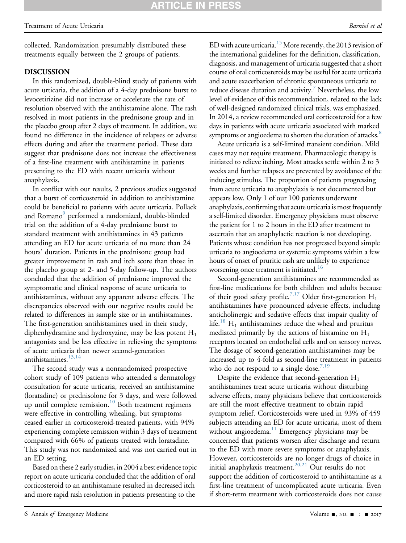collected. Randomization presumably distributed these treatments equally between the 2 groups of patients.

## DISCUSSION

In this randomized, double-blind study of patients with acute urticaria, the addition of a 4-day prednisone burst to levocetirizine did not increase or accelerate the rate of resolution observed with the antihistamine alone. The rash resolved in most patients in the prednisone group and in the placebo group after 2 days of treatment. In addition, we found no difference in the incidence of relapses or adverse effects during and after the treatment period. These data suggest that prednisone does not increase the effectiveness of a first-line treatment with antihistamine in patients presenting to the ED with recent urticaria without anaphylaxis.

In conflict with our results, 2 previous studies suggested that a burst of corticosteroid in addition to antihistamine could be beneficial to patients with acute urticaria. Pollack and Romano<sup>[9](#page-6-3)</sup> performed a randomized, double-blinded trial on the addition of a 4-day prednisone burst to standard treatment with antihistamines in 43 patients attending an ED for acute urticaria of no more than 24 hours' duration. Patients in the prednisone group had greater improvement in rash and itch score than those in the placebo group at 2- and 5-day follow-up. The authors concluded that the addition of prednisone improved the symptomatic and clinical response of acute urticaria to antihistamines, without any apparent adverse effects. The discrepancies observed with our negative results could be related to differences in sample size or in antihistamines. The first-generation antihistamines used in their study, diphenhydramine and hydroxyzine, may be less potent  $H_1$ antagonists and be less effective in relieving the symptoms of acute urticaria than newer second-generation antihistamines. $^{13,14}$ 

The second study was a nonrandomized prospective cohort study of 109 patients who attended a dermatology consultation for acute urticaria, received an antihistamine (loratadine) or prednisolone for 3 days, and were followed up until complete remission.<sup>[10](#page-6-4)</sup> Both treatment regimens were effective in controlling whealing, but symptoms ceased earlier in corticosteroid-treated patients, with 94% experiencing complete remission within 3 days of treatment compared with 66% of patients treated with loratadine. This study was not randomized and was not carried out in an ED setting.

Based on these 2 early studies, in 2004 a best evidence topic report on acute urticaria concluded that the addition of oral corticosteroid to an antihistamine resulted in decreased itch and more rapid rash resolution in patients presenting to the

ED with acute urticaria.<sup>15</sup> More recently, the 2013 revision of the international guidelines for the definition, classification, diagnosis, and management of urticaria suggested that a short course of oral corticosteroids may be useful for acute urticaria and acute exacerbation of chronic spontaneous urticaria to reduce disease duration and activity.<sup>7</sup> Nevertheless, the low level of evidence of this recommendation, related to the lack of well-designed randomized clinical trials, was emphasized. In 2014, a review recommended oral corticosteroid for a few days in patients with acute urticaria associated with marked symptoms or angioedema to shorten the duration of attacks.<sup>[8](#page-6-9)</sup>

Acute urticaria is a self-limited transient condition. Mild cases may not require treatment. Pharmacologic therapy is initiated to relieve itching. Most attacks settle within 2 to 3 weeks and further relapses are prevented by avoidance of the inducing stimulus. The proportion of patients progressing from acute urticaria to anaphylaxis is not documented but appears low. Only 1 of our 100 patients underwent anaphylaxis, confirming that acute urticaria is most frequently a self-limited disorder. Emergency physicians must observe the patient for 1 to 2 hours in the ED after treatment to ascertain that an anaphylactic reaction is not developing. Patients whose condition has not progressed beyond simple urticaria to angioedema or systemic symptoms within a few hours of onset of pruritic rash are unlikely to experience worsening once treatment is initiated.<sup>16</sup>

Second-generation antihistamines are recommended as first-line medications for both children and adults because of their good safety profile.<sup>7,17</sup> Older first-generation  $H_1$ antihistamines have pronounced adverse effects, including anticholinergic and sedative effects that impair quality of life.<sup>[18](#page-6-11)</sup> H<sub>1</sub> antihistamines reduce the wheal and pruritus mediated primarily by the actions of histamine on  $H_1$ receptors located on endothelial cells and on sensory nerves. The dosage of second-generation antihistamines may be increased up to 4-fold as second-line treatment in patients who do not respond to a single dose.<sup>[7,19](#page-6-2)</sup>

Despite the evidence that second-generation  $H_1$ antihistamines treat acute urticaria without disturbing adverse effects, many physicians believe that corticosteroids are still the most effective treatment to obtain rapid symptom relief. Corticosteroids were used in 93% of 459 subjects attending an ED for acute urticaria, most of them without angioedema. $11$  Emergency physicians may be concerned that patients worsen after discharge and return to the ED with more severe symptoms or anaphylaxis. However, corticosteroids are no longer drugs of choice in initial anaphylaxis treatment.<sup>20,21</sup> Our results do not support the addition of corticosteroid to antihistamine as a first-line treatment of uncomplicated acute urticaria. Even if short-term treatment with corticosteroids does not cause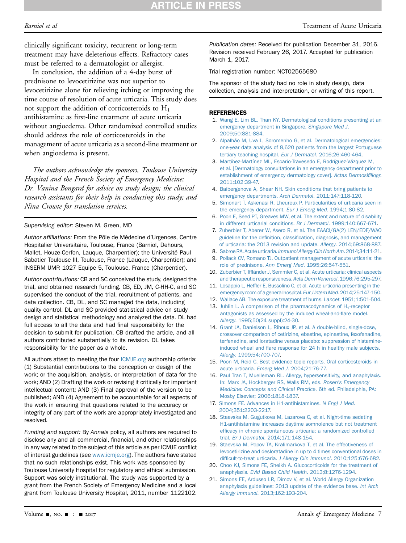clinically significant toxicity, recurrent or long-term treatment may have deleterious effects. Refractory cases must be referred to a dermatologist or allergist.

In conclusion, the addition of a 4-day burst of prednisone to levocetirizine was not superior to levocetirizine alone for relieving itching or improving the time course of resolution of acute urticaria. This study does not support the addition of corticosteroids to  $H_1$ antihistamine as first-line treatment of acute urticaria without angioedema. Other randomized controlled studies should address the role of corticosteroids in the management of acute urticaria as a second-line treatment or when angioedema is present.

The authors acknowledge the sponsors, Toulouse University Hospital and the French Society of Emergency Medicine; Dr. Vanina Bongard for advice on study design; the clinical research assistants for their help in conducting this study; and Nina Crowte for translation services.

Supervising editor: Steven M. Green, MD

Author affiliations: From the Pôle de Médecine d'Urgences, Centre Hospitalier Universitaire, Toulouse, France (Barniol, Dehours, Mallet, Houze-Cerfon, Lauque, Charpentier); the Université Paul Sabatier Toulouse III, Toulouse, France (Lauque, Charpentier); and INSERM UMR 1027 Equipe 5, Toulouse, France (Charpentier).

Author contributions: CB and SC conceived the study, designed the trial, and obtained research funding. CB, ED, JM, C-HH-C, and SC supervised the conduct of the trial, recruitment of patients, and data collection. CB, DL, and SC managed the data, including quality control. DL and SC provided statistical advice on study design and statistical methodology and analyzed the data. DL had full access to all the data and had final responsibility for the decision to submit for publication. CB drafted the article, and all authors contributed substantially to its revision. DL takes responsibility for the paper as a whole.

All authors attest to meeting the four [ICMJE.org](http://ICMJE.org) authorship criteria: (1) Substantial contributions to the conception or design of the work; or the acquisition, analysis, or interpretation of data for the work; AND (2) Drafting the work or revising it critically for important intellectual content; AND (3) Final approval of the version to be published; AND (4) Agreement to be accountable for all aspects of the work in ensuring that questions related to the accuracy or integrity of any part of the work are appropriately investigated and resolved.

Funding and support: By Annals policy, all authors are required to disclose any and all commercial, financial, and other relationships in any way related to the subject of this article as per ICMJE conflict of interest guidelines (see [www.icmje.org\)](http://www.icmje.org/). The authors have stated that no such relationships exist. This work was sponsored by Toulouse University Hospital for regulatory and ethical submission. Support was solely institutional. The study was supported by a grant from the French Society of Emergency Medicine and a local grant from Toulouse University Hospital, 2011, number 1122102.

Publication dates: Received for publication December 31, 2016. Revision received February 26, 2017. Accepted for publication March 1, 2017.

Trial registration number: NCT02565680

The sponsor of the study had no role in study design, data collection, analysis and interpretation, or writing of this report.

#### <span id="page-6-0"></span>REFERENCES

- 1. [Wang E, Lim BL, Than KY. Dermatological conditions presenting at an](http://refhub.elsevier.com/S0196-0644(17)30264-0/sref1) [emergency department in Singapore.](http://refhub.elsevier.com/S0196-0644(17)30264-0/sref1) Singapore Med J. [2009;50:881-884](http://refhub.elsevier.com/S0196-0644(17)30264-0/sref1).
- 2. [Alpalhão M, Uva L, Soromenho G, et al. Dermatological emergencies:](http://refhub.elsevier.com/S0196-0644(17)30264-0/sref2) [one-year data analysis of 8,620 patients from the largest Portuguese](http://refhub.elsevier.com/S0196-0644(17)30264-0/sref2) [tertiary teaching hospital.](http://refhub.elsevier.com/S0196-0644(17)30264-0/sref2) Eur J Dermatol. 2016;26:460-464.
- 3. [Martínez-Martínez ML, Escario-Travesedo E, Rodríguez-Vázquez M,](http://refhub.elsevier.com/S0196-0644(17)30264-0/sref3) [et al. \[Dermatology consultations in an emergency department prior to](http://refhub.elsevier.com/S0196-0644(17)30264-0/sref3) [establishment of emergency dermatology cover\].](http://refhub.elsevier.com/S0196-0644(17)30264-0/sref3) Actas Dermosifiliogr. [2011;102:39-47.](http://refhub.elsevier.com/S0196-0644(17)30264-0/sref3)
- 4. [Baibergenova A, Shear NH. Skin conditions that bring patients to](http://refhub.elsevier.com/S0196-0644(17)30264-0/sref4) [emergency departments.](http://refhub.elsevier.com/S0196-0644(17)30264-0/sref4) Arch Dermatol. 2011;147:118-120.
- 5. [Simonart T, Askenasi R, Lheureux P. Particularities of urticaria seen in](http://refhub.elsevier.com/S0196-0644(17)30264-0/sref5) [the emergency department.](http://refhub.elsevier.com/S0196-0644(17)30264-0/sref5) Eur J Emerg Med. 1994;1:80-82.
- <span id="page-6-1"></span>6. [Poon E, Seed PT, Greaves MW, et al. The extent and nature of disability](http://refhub.elsevier.com/S0196-0644(17)30264-0/sref6) [in different urticarial conditions.](http://refhub.elsevier.com/S0196-0644(17)30264-0/sref6) Br J Dermatol. 1999;140:667-671.
- <span id="page-6-2"></span>7. [Zuberbier T, Aberer W, Asero R, et al. The EAACI/GA\(2\) LEN/EDF/WAO](http://refhub.elsevier.com/S0196-0644(17)30264-0/sref7) guideline for the definition, classifi[cation, diagnosis, and management](http://refhub.elsevier.com/S0196-0644(17)30264-0/sref7) [of urticaria: the 2013 revision and update.](http://refhub.elsevier.com/S0196-0644(17)30264-0/sref7) Allergy. 2014;69:868-887.
- <span id="page-6-9"></span><span id="page-6-3"></span>8. Sabroe RA. Acute urticaria. Immunol Allergy Clin North Am. 2014;34:11-21.
- 9. [Pollack CV, Romano TJ. Outpatient management of acute urticaria: the](http://refhub.elsevier.com/S0196-0644(17)30264-0/sref9) role of prednisone. Ann Emerg Med[. 1995;26:547-551](http://refhub.elsevier.com/S0196-0644(17)30264-0/sref9).
- <span id="page-6-4"></span>10. Zuberbier T, Iffl[änder J, Semmler C, et al. Acute urticaria: clinical aspects](http://refhub.elsevier.com/S0196-0644(17)30264-0/sref10) [and therapeutic responsiveness.](http://refhub.elsevier.com/S0196-0644(17)30264-0/sref10) Acta Derm Venereol. 1996;76:295-297.
- <span id="page-6-5"></span>11. Losappio L, Heffl[er E, Bussolino C, et al. Acute urticaria presenting in the](http://refhub.elsevier.com/S0196-0644(17)30264-0/sref11) [emergency room of a general hospital.](http://refhub.elsevier.com/S0196-0644(17)30264-0/sref11) Eur J Intern Med. 2014;25:147-150.
- <span id="page-6-7"></span><span id="page-6-6"></span>12. [Wallace AB. The exposure treatment of burns.](http://refhub.elsevier.com/S0196-0644(17)30264-0/sref12) Lancet. 1951;1:501-504.
- 13. Juhlin L. A comparison of the pharmacodynamics of  $H_1$ -receptor [antagonists as assessed by the induced wheal-and-](http://refhub.elsevier.com/S0196-0644(17)30264-0/sref13)flare model. Allergy[. 1995;50\(24 suppl\):24-30.](http://refhub.elsevier.com/S0196-0644(17)30264-0/sref13)
- 14. [Grant JA, Danielson L, Rihoux JP, et al. A double-blind, single-dose,](http://refhub.elsevier.com/S0196-0644(17)30264-0/sref14) [crossover comparison of cetirizine, ebastine, epinastine, fexofenadine,](http://refhub.elsevier.com/S0196-0644(17)30264-0/sref14) [terfenadine, and loratadine versus placebo: suppression of histamine](http://refhub.elsevier.com/S0196-0644(17)30264-0/sref14)induced wheal and fl[are response for 24 h in healthy male subjects.](http://refhub.elsevier.com/S0196-0644(17)30264-0/sref14) Allergy[. 1999;54:700-707.](http://refhub.elsevier.com/S0196-0644(17)30264-0/sref14)
- <span id="page-6-8"></span>15. [Poon M, Reid C. Best evidence topic reports. Oral corticosteroids in](http://refhub.elsevier.com/S0196-0644(17)30264-0/sref15) acute urticaria. Emerg Med J[. 2004;21:76-77.](http://refhub.elsevier.com/S0196-0644(17)30264-0/sref15)
- <span id="page-6-10"></span>16. [Paul Tran T, Muelleman RL. Allergy, hypersensitivity, and anaphylaxis.](http://refhub.elsevier.com/S0196-0644(17)30264-0/sref16) [In: Marx JA, Hockberger RS, Walls RM, eds.](http://refhub.elsevier.com/S0196-0644(17)30264-0/sref16) Rosen's Emergency [Medicine: Concepts and Clinical Practice](http://refhub.elsevier.com/S0196-0644(17)30264-0/sref16), 6th ed. Philadelphia, PA: [Mosby Elsevier; 2006:1818-1837.](http://refhub.elsevier.com/S0196-0644(17)30264-0/sref16)
- 17. [Simons FE. Advances in H1-antihistamines.](http://refhub.elsevier.com/S0196-0644(17)30264-0/sref17) N Engl J Med. [2004;351:2203-2217.](http://refhub.elsevier.com/S0196-0644(17)30264-0/sref17)
- <span id="page-6-11"></span>18. [Staevska M, Gugutkova M, Lazarova C, et al. Night-time sedating](http://refhub.elsevier.com/S0196-0644(17)30264-0/sref18) [H1-antihistamine increases daytime somnolence but not treatment](http://refhub.elsevier.com/S0196-0644(17)30264-0/sref18) effi[cacy in chronic spontaneous urticaria: a randomized controlled](http://refhub.elsevier.com/S0196-0644(17)30264-0/sref18) trial. Br J Dermatol[. 2014;171:148-154.](http://refhub.elsevier.com/S0196-0644(17)30264-0/sref18)
- 19. [Staevska M, Popov TA, Kralimarkova T, et al. The effectiveness of](http://refhub.elsevier.com/S0196-0644(17)30264-0/sref19) [levocetirizine and desloratadine in up to 4 times conventional doses in](http://refhub.elsevier.com/S0196-0644(17)30264-0/sref19) difficult-to-treat urticaria. [J Allergy Clin Immunol](http://refhub.elsevier.com/S0196-0644(17)30264-0/sref19). 2010;125:676-682.
- <span id="page-6-12"></span>20. [Choo KJ, Simons FE, Sheikh A. Glucocorticoids for the treatment of](http://refhub.elsevier.com/S0196-0644(17)30264-0/sref20) anaphylaxis. [Evid Based Child Health](http://refhub.elsevier.com/S0196-0644(17)30264-0/sref20). 2013;8:1276-1294.
- 21. [Simons FE, Ardusso LR, Dimov V, et al. World Allergy Organization](http://refhub.elsevier.com/S0196-0644(17)30264-0/sref21) [anaphylaxis guidelines: 2013 update of the evidence base.](http://refhub.elsevier.com/S0196-0644(17)30264-0/sref21) Int Arch Allergy Immunol[. 2013;162:193-204](http://refhub.elsevier.com/S0196-0644(17)30264-0/sref21).